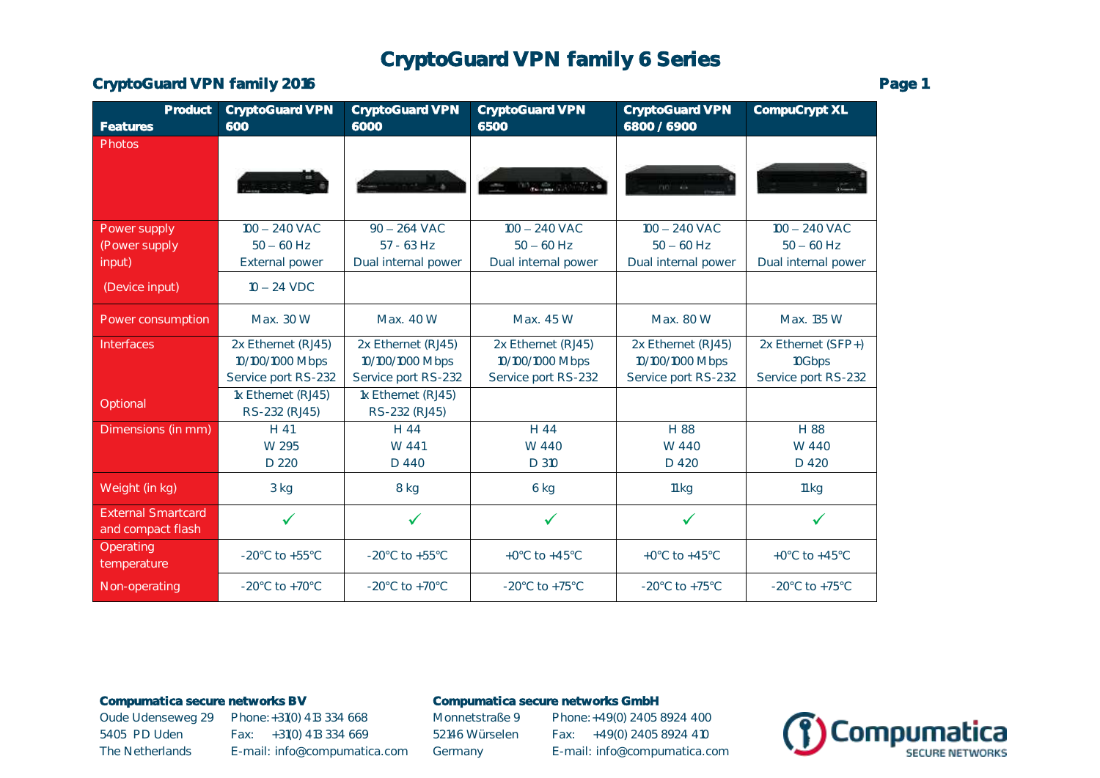# CryptoGuard VPN family 6 Series

CryptoGuard VPN family 2016 **Page 1** Page 1

| Product<br>Features                            | <b>CryptoGuard VPN</b><br>600           | <b>CryptoGuard VPN</b><br>6000          | <b>CryptoGuard VPN</b><br>6500          | <b>CryptoGuard VPN</b><br>6800 / 6900   | CompuCrypt XL                       |
|------------------------------------------------|-----------------------------------------|-----------------------------------------|-----------------------------------------|-----------------------------------------|-------------------------------------|
| <b>Photos</b>                                  |                                         |                                         |                                         |                                         |                                     |
|                                                | <b><i>ARTICLES</i></b>                  |                                         | Washington Street                       | $m - 2$                                 |                                     |
| Power supply                                   | $100 - 240$ VAC                         | $90 - 264$ VAC                          | $100 - 240$ VAC                         | $100 - 240$ VAC                         | $100 - 240$ VAC                     |
| (Power supply<br>input)                        | $50 - 60$ Hz<br><b>External power</b>   | $57 - 63$ Hz<br>Dual internal power     | $50 - 60$ Hz<br>Dual internal power     | $50 - 60$ Hz<br>Dual internal power     | $50 - 60$ Hz<br>Dual internal power |
| (Device input)                                 | $10 - 24$ VDC                           |                                         |                                         |                                         |                                     |
| Power consumption                              | Max. 30 W                               | Max. 40 W                               | Max. 45 W                               | Max. 80 W                               | Max. 135 W                          |
| Interfaces                                     | 2x Ethernet (RJ45)                      | 2x Ethernet (RJ45)                      | 2x Ethernet (RJ45)                      | 2x Ethernet (RJ45)                      | 2x Ethernet (SFP+)                  |
|                                                | 10/100/1000 Mbps<br>Service port RS-232 | 10/100/1000 Mbps<br>Service port RS-232 | 10/100/1000 Mbps<br>Service port RS-232 | 10/100/1000 Mbps<br>Service port RS-232 | 10Gbps<br>Service port RS-232       |
|                                                | 1x Ethernet (RJ45)                      | 1x Ethernet (RJ45)                      |                                         |                                         |                                     |
| Optional                                       | RS-232 (RJ45)                           | RS-232 (RJ45)                           |                                         |                                         |                                     |
| Dimensions (in mm)                             | $H$ 41                                  | H 44                                    | H 44                                    | H 88                                    | H 88                                |
|                                                | W 295                                   | W 441                                   | W 440                                   | W 440                                   | W 440                               |
|                                                | D 220                                   | D 440                                   | D 310                                   | D 420                                   | D 420                               |
| Weight (in kg)                                 | 3 kg                                    | 8 kg                                    | 6 kg                                    | 11 kg                                   | 11 kg                               |
| <b>External Smartcard</b><br>and compact flash | $\checkmark$                            | $\checkmark$                            | $\checkmark$                            | $\checkmark$                            | $\checkmark$                        |
| Operating<br>temperature                       | -20 $^{\circ}$ C to +55 $^{\circ}$ C    | $-20^{\circ}$ C to $+55^{\circ}$ C      | +0 $^{\circ}$ C to +45 $^{\circ}$ C     | +0 $^{\circ}$ C to +45 $^{\circ}$ C     | +0 $^{\circ}$ C to +45 $^{\circ}$ C |
| Non-operating                                  | $-20^{\circ}$ C to $+70^{\circ}$ C      | $-20^{\circ}$ C to $+70^{\circ}$ C      | $-20^{\circ}$ C to $+75^{\circ}$ C      | $-20^{\circ}$ C to $+75^{\circ}$ C      | $-20^{\circ}$ C to $+75^{\circ}$ C  |

### Compumatica secure networks BV Compumatica secure networks GmbH

5405 PD Uden Fax: +31(0) 413 334 669 52146 Würselen Fax: +49(0) 2405 8924 410

Oude Udenseweg 29 Phone: +31(0) 413 334 668 Monnetstraße 9 Phone: +49(0) 2405 8924 400 The Netherlands E-mail: info@compumatica.com Germany E-mail: info@compumatica.com

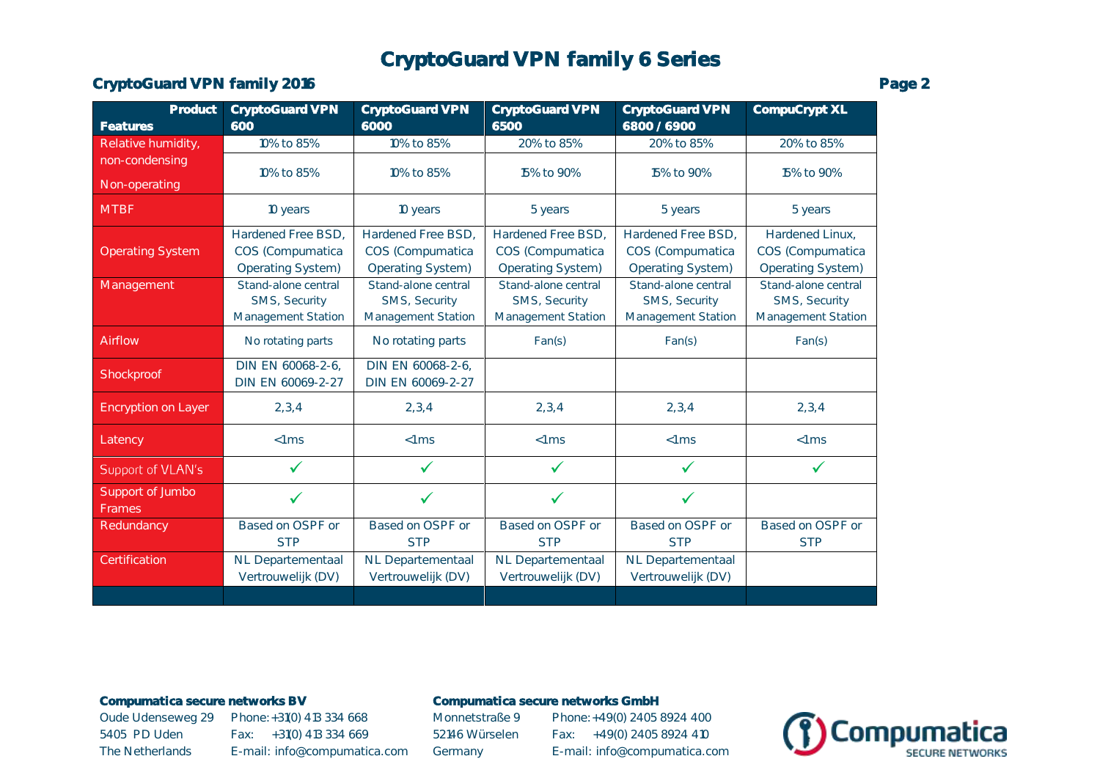# CryptoGuard VPN family 6 Series

## CryptoGuard VPN family 2016 **Page 2** Page 2

| Product                 | <b>CryptoGuard VPN</b> | <b>CryptoGuard VPN</b>   | <b>CryptoGuard VPN</b> | <b>CryptoGuard VPN</b> | CompuCrypt XL       |
|-------------------------|------------------------|--------------------------|------------------------|------------------------|---------------------|
| <b>Features</b>         | 600                    | 6000                     | 6500                   | 6800 / 6900            |                     |
| Relative humidity,      | 10% to 85%             | 10% to 85%               | 20% to 85%             | 20% to 85%             | 20% to 85%          |
| non-condensing          | 10% to 85%             | 10% to 85%               | 15% to 90%             | 15% to 90%             | 15% to 90%          |
| Non-operating           |                        |                          |                        |                        |                     |
| <b>MTBF</b>             | 10 years               | 10 years                 | 5 years                | 5 years                | 5 years             |
|                         | Hardened Free BSD,     | Hardened Free BSD,       | Hardened Free BSD,     | Hardened Free BSD,     | Hardened Linux,     |
| <b>Operating System</b> | COS (Compumatica       | COS (Compumatica         | COS (Compumatica       | COS (Compumatica       | COS (Compumatica    |
|                         | Operating System)      | <b>Operating System)</b> | Operating System)      | Operating System)      | Operating System)   |
| Management              | Stand-alone central    | Stand-alone central      | Stand-alone central    | Stand-alone central    | Stand-alone central |
|                         | SMS, Security          | SMS, Security            | SMS, Security          | SMS, Security          | SMS, Security       |
|                         | Management Station     | Management Station       | Management Station     | Management Station     | Management Station  |
| Airflow                 | No rotating parts      | No rotating parts        |                        |                        | Fan(s)              |
|                         |                        |                          | Fan(s)                 | Fan(s)                 |                     |
| Shockproof              | DIN EN 60068-2-6,      | DIN EN 60068-2-6,        |                        |                        |                     |
|                         | DIN EN 60069-2-27      | DIN EN 60069-2-27        |                        |                        |                     |
| Encryption on Layer     | 2, 3, 4                | 2, 3, 4                  | 2, 3, 4                | 2, 3, 4                | 2, 3, 4             |
| Latency                 | $<1$ ms                | $<1$ ms                  | $<1$ ms                | $<1$ ms                | $<1$ ms             |
| Support of VLAN's       |                        | ✓                        | ✓                      | $\checkmark$           | $\checkmark$        |
| Support of Jumbo        | $\checkmark$           | ✓                        | ✓                      | ✓                      |                     |
| Frames                  |                        |                          |                        |                        |                     |
| Redundancy              | Based on OSPF or       | Based on OSPF or         | Based on OSPF or       | Based on OSPF or       | Based on OSPF or    |
|                         | <b>STP</b>             | <b>STP</b>               | <b>STP</b>             | <b>STP</b>             | <b>STP</b>          |
| Certification           | NL Departementaal      | NL Departementaal        | NL Departementaal      | NL Departementaal      |                     |
|                         | Vertrouwelijk (DV)     | Vertrouwelijk (DV)       | Vertrouwelijk (DV)     | Vertrouwelijk (DV)     |                     |
|                         |                        |                          |                        |                        |                     |

### Compumatica secure networks BV Compumatica secure networks GmbH

Oude Udenseweg 29 Phone: +31(0) 413 334 668 Monnetstraße 9 Phone: +49(0) 2405 8924 400 5405 PD Uden Fax: +31(0) 413 334 669 52146 Würselen Fax: +49(0) 2405 8924 410

The Netherlands E-mail: info@compumatica.com Germany E-mail: info@compumatica.com